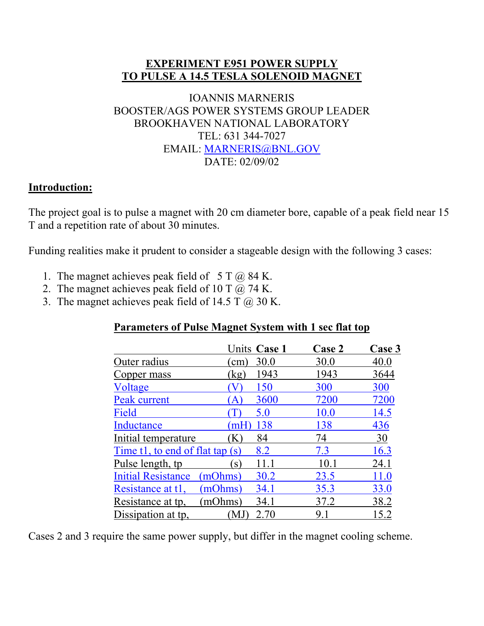#### **EXPERIMENT E951 POWER SUPPLY TO PULSE A 14.5 TESLA SOLENOID MAGNET**

#### IOANNIS MARNERIS BOOSTER/AGS POWER SYSTEMS GROUP LEADER BROOKHAVEN NATIONAL LABORATORY TEL: 631 344-7027 EMAIL: [MARNERIS@BNL.GOV](mailto:MARNERIS@BNL.GOV) DATE: 02/09/02

#### **Introduction:**

The project goal is to pulse a magnet with 20 cm diameter bore, capable of a peak field near 15 T and a repetition rate of about 30 minutes.

Funding realities make it prudent to consider a stageable design with the following 3 cases:

- 1. The magnet achieves peak field of  $5 T (\bar{\omega}) 84 K$ .
- 2. The magnet achieves peak field of 10 T  $\ddot{\omega}$ , 74 K.
- 3. The magnet achieves peak field of 14.5 T  $\omega$  30 K.

#### **Parameters of Pulse Magnet System with 1 sec flat top**

|                                      |              | Units Case 1 | <b>Case 2</b> | Case 3 |
|--------------------------------------|--------------|--------------|---------------|--------|
| Outer radius                         | cm           | 30.0         | 30.0          | 40.0   |
| Copper mass                          | kg           | 1943         | 1943          | 3644   |
| Voltage                              |              | 150          | 300           | 300    |
| Peak current                         | A)           | 3600         | 7200          | 7200   |
| Field                                |              | 5.0          | 10.0          | 14.5   |
| Inductance                           | mH           | 138          | 138           | 436    |
| Initial temperature                  | K            | 84           | 74            | 30     |
| Time t1, to end of flat tap $(s)$    |              | 8.2          | 7.3           | 16.3   |
| Pulse length, tp                     | $\mathbf{S}$ | 11.1         | 10.1          | 24.1   |
| <b>Initial Resistance</b><br>(mOhms) |              | 30.2         | 23.5          | 11.0   |
| (mOhms)<br>Resistance at t1,         |              | 34.1         | 35.3          | 33.0   |
| (mOhms)<br>Resistance at tp.         |              | 34.1         | 37.2          | 38.2   |
| Dissipation at tp,                   | M.           | 2.70         | 9.1           | 15.2   |

Cases 2 and 3 require the same power supply, but differ in the magnet cooling scheme.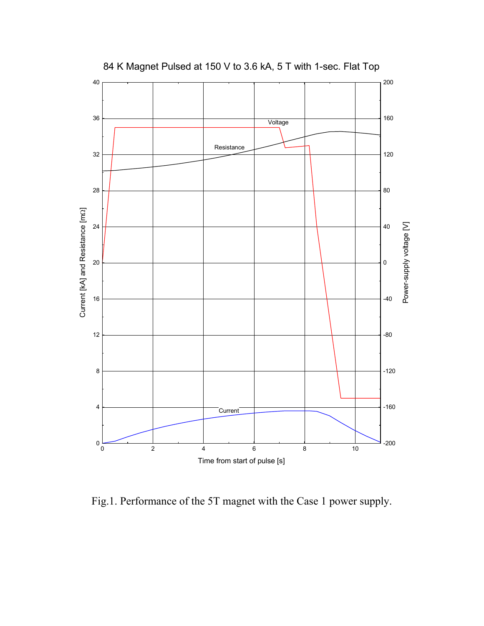

84 K Magnet Pulsed at 150 V to 3.6 kA, 5 T with 1-sec. Flat Top

Fig.1. Performance of the 5T magnet with the Case 1 power supply.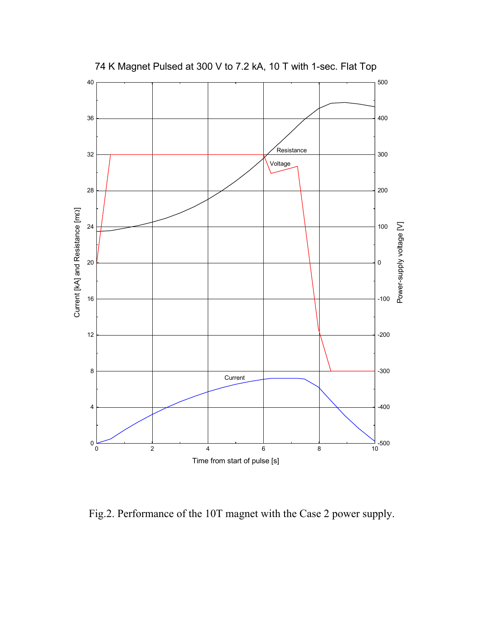

74 K Magnet Pulsed at 300 V to 7.2 kA, 10 T with 1-sec. Flat Top

Fig.2. Performance of the 10T magnet with the Case 2 power supply.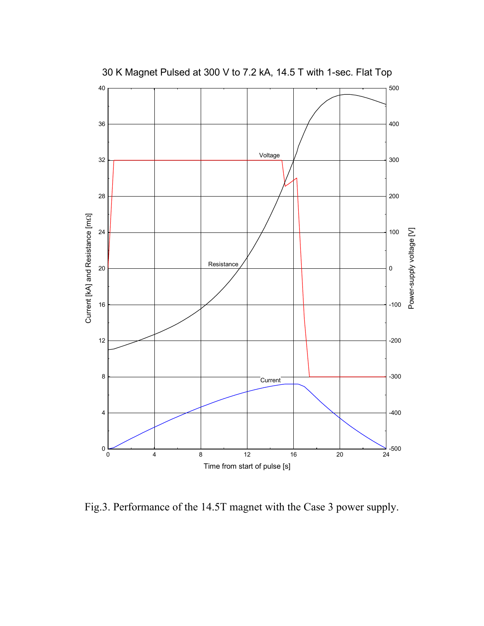

30 K Magnet Pulsed at 300 V to 7.2 kA, 14.5 T with 1-sec. Flat Top

Fig.3. Performance of the 14.5T magnet with the Case 3 power supply.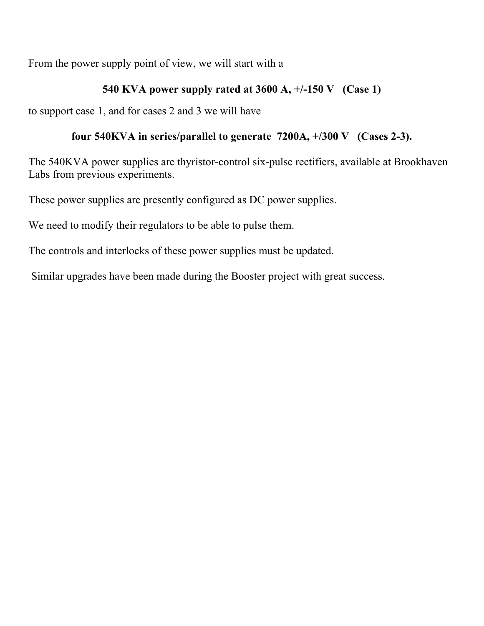From the power supply point of view, we will start with a

#### **540 KVA power supply rated at 3600 A, +/-150 V (Case 1)**

to support case 1, and for cases 2 and 3 we will have

#### **four 540KVA in series/parallel to generate 7200A, +/300 V (Cases 2-3).**

The 540KVA power supplies are thyristor-control six-pulse rectifiers, available at Brookhaven Labs from previous experiments.

These power supplies are presently configured as DC power supplies.

We need to modify their regulators to be able to pulse them.

The controls and interlocks of these power supplies must be updated.

Similar upgrades have been made during the Booster project with great success.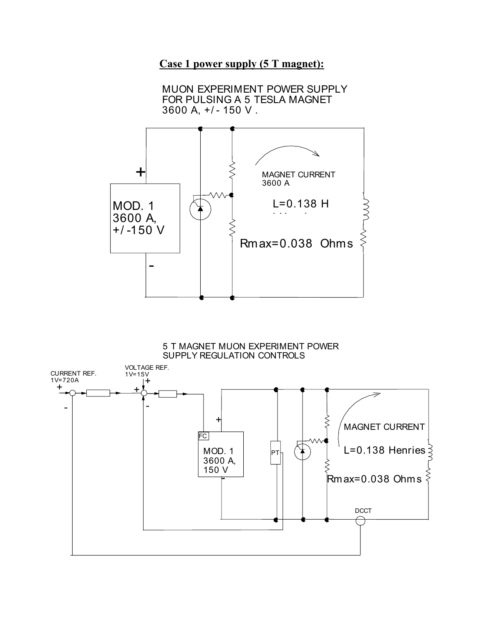## **Case 1 power supply (5 T magnet):**

MUON EXPERIMENT POWER SUPPLY FOR PULSING A 5 TESLA MAGNET 3600 A, +/ - 150 V .



#### 5 T MAGNET MUON EXPERIMENT POWER SUPPLY REGULATION CONTROLS

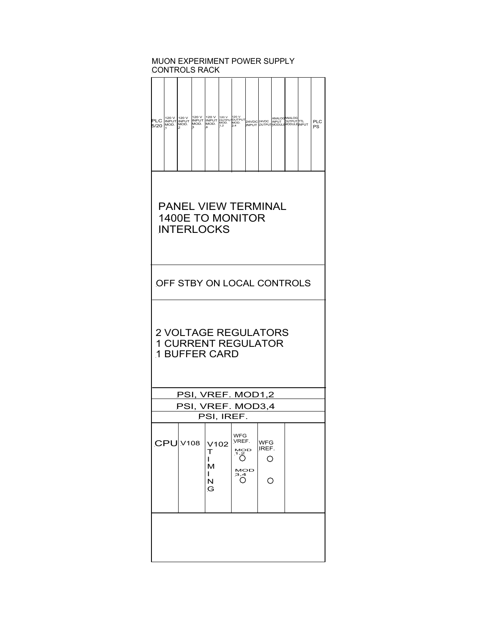#### MUON EXPERIMENT POWER SUPPLY CONTROLS RACK

| PLC INPUT INPUT INPUT INPUT<br>5/20 MOD. MOD. |  |  | MOD. | MOD. | 120 V<br>MOD.<br>1.2 | 120 V<br>OUTPUTOUTPUT<br>3,4 |  |  | ANALOGANALOG<br>24VDC 24VDC INPUT DUTPUTTIL<br>INPUT OUTPUTMODULE MODULE INPUT |  |  | <b>PLC</b><br>PS |
|-----------------------------------------------|--|--|------|------|----------------------|------------------------------|--|--|--------------------------------------------------------------------------------|--|--|------------------|
|-----------------------------------------------|--|--|------|------|----------------------|------------------------------|--|--|--------------------------------------------------------------------------------|--|--|------------------|

#### PANEL VIEW TERMINAL 1400E TO MONITOR **INTERLOCKS**

OFF STBY ON LOCAL CONTROLS

#### 2 VOLTAGE REGULATORS 1 CURRENT REGULATOR 1 BUFFER CARD

| PSI. VREF. MOD1.2 |  |
|-------------------|--|
| PSI, VREF. MOD3,4 |  |
| PSI, IREF.        |  |

|  | CPU V108 V102 VREF. | м<br>N<br>G | <b>WFG</b><br><b>MOD</b><br>7,2<br><b>MOD</b><br>3,4 | <b>WFG</b><br>IREF. |  |
|--|---------------------|-------------|------------------------------------------------------|---------------------|--|
|  |                     |             |                                                      |                     |  |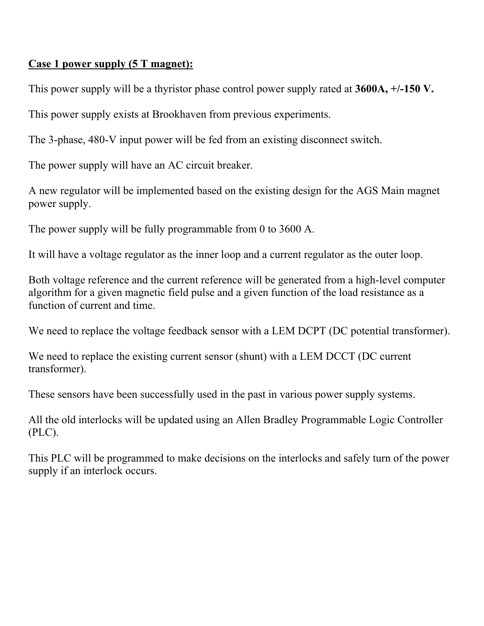#### **Case 1 power supply (5 T magnet):**

This power supply will be a thyristor phase control power supply rated at **3600A, +/-150 V.**

This power supply exists at Brookhaven from previous experiments.

The 3-phase, 480-V input power will be fed from an existing disconnect switch.

The power supply will have an AC circuit breaker.

A new regulator will be implemented based on the existing design for the AGS Main magnet power supply.

The power supply will be fully programmable from 0 to 3600 A.

It will have a voltage regulator as the inner loop and a current regulator as the outer loop.

Both voltage reference and the current reference will be generated from a high-level computer algorithm for a given magnetic field pulse and a given function of the load resistance as a function of current and time.

We need to replace the voltage feedback sensor with a LEM DCPT (DC potential transformer).

We need to replace the existing current sensor (shunt) with a LEM DCCT (DC current transformer).

These sensors have been successfully used in the past in various power supply systems.

All the old interlocks will be updated using an Allen Bradley Programmable Logic Controller (PLC).

This PLC will be programmed to make decisions on the interlocks and safely turn of the power supply if an interlock occurs.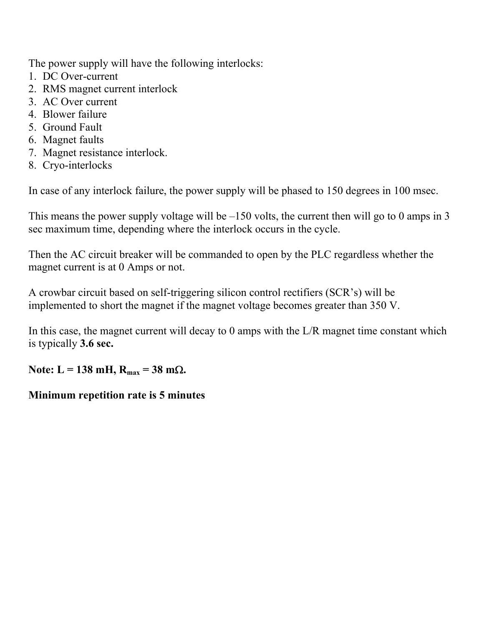The power supply will have the following interlocks:

- 1. DC Over-current
- 2. RMS magnet current interlock
- 3. AC Over current
- 4. Blower failure
- 5. Ground Fault
- 6. Magnet faults
- 7. Magnet resistance interlock.
- 8. Cryo-interlocks

In case of any interlock failure, the power supply will be phased to 150 degrees in 100 msec.

This means the power supply voltage will be  $-150$  volts, the current then will go to 0 amps in 3 sec maximum time, depending where the interlock occurs in the cycle.

Then the AC circuit breaker will be commanded to open by the PLC regardless whether the magnet current is at 0 Amps or not.

A crowbar circuit based on self-triggering silicon control rectifiers (SCR's) will be implemented to short the magnet if the magnet voltage becomes greater than 350 V.

In this case, the magnet current will decay to 0 amps with the L/R magnet time constant which is typically **3.6 sec.** 

Note: L = 138 mH,  $R_{max}$  = 38 mΩ.

#### **Minimum repetition rate is 5 minutes**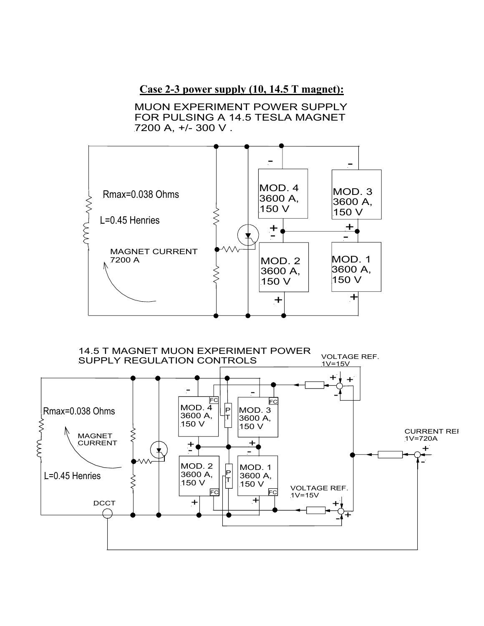#### **Case 2-3 power supply (10, 14.5 T magnet):**

MUON EXPERIMENT POWER SUPPLY FOR PULSING A 14.5 TESLA MAGNET 7200 A, +/- 300 V .



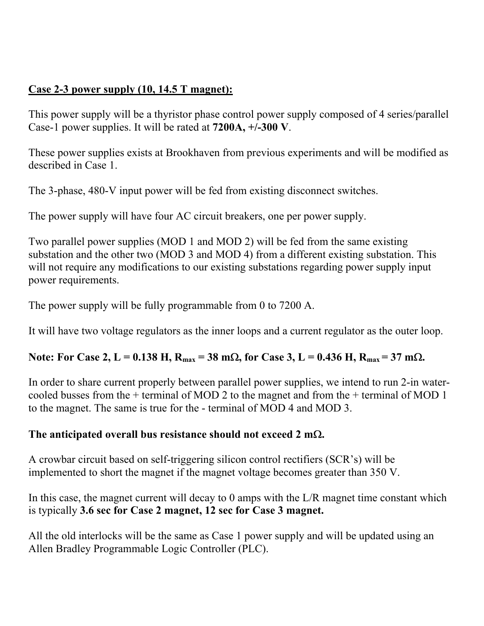## **Case 2-3 power supply (10, 14.5 T magnet):**

This power supply will be a thyristor phase control power supply composed of 4 series/parallel Case-1 power supplies. It will be rated at **7200A, +/-300 V**.

These power supplies exists at Brookhaven from previous experiments and will be modified as described in Case 1.

The 3-phase, 480-V input power will be fed from existing disconnect switches.

The power supply will have four AC circuit breakers, one per power supply.

Two parallel power supplies (MOD 1 and MOD 2) will be fed from the same existing substation and the other two (MOD 3 and MOD 4) from a different existing substation. This will not require any modifications to our existing substations regarding power supply input power requirements.

The power supply will be fully programmable from 0 to 7200 A.

It will have two voltage regulators as the inner loops and a current regulator as the outer loop.

## Note: For Case 2, L = 0.138 H, R<sub>max</sub> = 38 mΩ, for Case 3, L = 0.436 H, R<sub>max</sub> = 37 mΩ.

In order to share current properly between parallel power supplies, we intend to run 2-in watercooled busses from the + terminal of MOD 2 to the magnet and from the + terminal of MOD 1 to the magnet. The same is true for the - terminal of MOD 4 and MOD 3.

## **The anticipated overall bus resistance should not exceed 2 m**Ω**.**

A crowbar circuit based on self-triggering silicon control rectifiers (SCR's) will be implemented to short the magnet if the magnet voltage becomes greater than 350 V.

In this case, the magnet current will decay to 0 amps with the L/R magnet time constant which is typically **3.6 sec for Case 2 magnet, 12 sec for Case 3 magnet.** 

All the old interlocks will be the same as Case 1 power supply and will be updated using an Allen Bradley Programmable Logic Controller (PLC).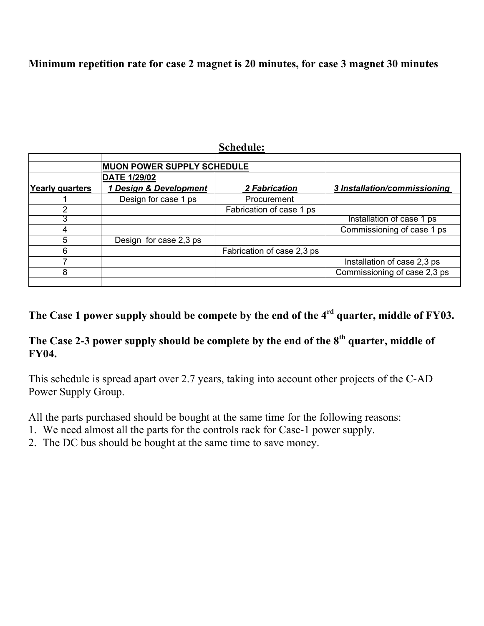#### **Minimum repetition rate for case 2 magnet is 20 minutes, for case 3 magnet 30 minutes**

|                        | <b>MUON POWER SUPPLY SCHEDULE</b> |                            |                              |
|------------------------|-----------------------------------|----------------------------|------------------------------|
|                        | <b>DATE 1/29/02</b>               |                            |                              |
| <b>Yearly quarters</b> | 1 Design & Development            | <b>2 Fabrication</b>       | 3 Installation/commissioning |
|                        | Design for case 1 ps              | Procurement                |                              |
|                        |                                   | Fabrication of case 1 ps   |                              |
|                        |                                   |                            | Installation of case 1 ps    |
|                        |                                   |                            | Commissioning of case 1 ps   |
| 5                      | Design for case 2,3 ps            |                            |                              |
| 6                      |                                   | Fabrication of case 2,3 ps |                              |
|                        |                                   |                            | Installation of case 2,3 ps  |
| 8                      |                                   |                            | Commissioning of case 2,3 ps |
|                        |                                   |                            |                              |

**Schedule:**

# **The Case 1 power supply should be compete by the end of the 4rd quarter, middle of FY03.**

## **The Case 2-3 power supply should be complete by the end of the 8th quarter, middle of FY04.**

This schedule is spread apart over 2.7 years, taking into account other projects of the C-AD Power Supply Group.

All the parts purchased should be bought at the same time for the following reasons:

- 1. We need almost all the parts for the controls rack for Case-1 power supply.
- 2. The DC bus should be bought at the same time to save money.